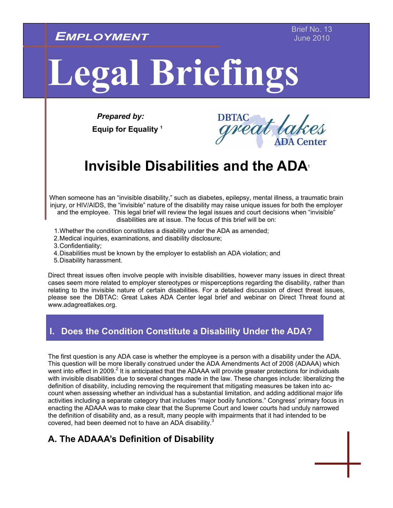*EMPLOYMENT*

# **Legal Briefings**

*Prepared by:*   **Equip for Equality 1**

# **Invisible Disabilities and the ADA**<sup>1</sup>

When someone has an "invisible disability," such as diabetes, epilepsy, mental illness, a traumatic brain injury, or HIV/AIDS, the "invisible" nature of the disability may raise unique issues for both the employer and the employee. This legal brief will review the legal issues and court decisions when "invisible" disabilities are at issue. The focus of this brief will be on:

- 1. Whether the condition constitutes a disability under the ADA as amended;
- 2. Medical inquiries, examinations, and disability disclosure;
- 3. Confidentiality;
- 4. Disabilities must be known by the employer to establish an ADA violation; and
- 5. Disability harassment.

Direct threat issues often involve people with invisible disabilities, however many issues in direct threat cases seem more related to employer stereotypes or misperceptions regarding the disability, rather than relating to the invisible nature of certain disabilities. For a detailed discussion of direct threat issues, please see the DBTAC: Great Lakes ADA Center legal brief and webinar on Direct Threat found at www.adagreatlakes.org.

### **I. Does the Condition Constitute a Disability Under the ADA?**

The first question is any ADA case is whether the employee is a person with a disability under the ADA. This question will be more liberally construed under the ADA Amendments Act of 2008 (ADAAA) which went into effect in 2009.<sup>2</sup> It is anticipated that the ADAAA will provide greater protections for individuals with invisible disabilities due to several changes made in the law. These changes include: liberalizing the definition of disability, including removing the requirement that mitigating measures be taken into account when assessing whether an individual has a substantial limitation, and adding additional major life activities including a separate category that includes "major bodily functions." Congress' primary focus in enacting the ADAAA was to make clear that the Supreme Court and lower courts had unduly narrowed the definition of disability and, as a result, many people with impairments that it had intended to be covered, had been deemed not to have an ADA disability.<sup>3</sup>

## **A. The ADAAA's Definition of Disability**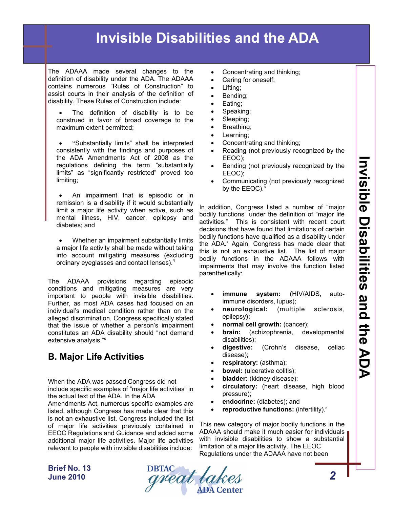The ADAAA made several changes to the definition of disability under the ADA. The ADAAA contains numerous "Rules of Construction" to assist courts in their analysis of the definition of disability. These Rules of Construction include:

 The definition of disability is to be construed in favor of broad coverage to the maximum extent permitted;

 "Substantially limits" shall be interpreted consistently with the findings and purposes of the ADA Amendments Act of 2008 as the regulations defining the term "substantially limits" as "significantly restricted" proved too limiting;

 An impairment that is episodic or in remission is a disability if it would substantially limit a major life activity when active, such as mental illness, HIV, cancer, epilepsy and diabetes; and

• Whether an impairment substantially limits a major life activity shall be made without taking into account mitigating measures (excluding ordinary eyeglasses and contact lenses).<sup>4</sup>

The ADAAA provisions regarding episodic conditions and mitigating measures are very important to people with invisible disabilities. Further, as most ADA cases had focused on an individual's medical condition rather than on the alleged discrimination, Congress specifically stated that the issue of whether a person's impairment constitutes an ADA disability should "not demand extensive analysis."5

## **B. Major Life Activities**

When the ADA was passed Congress did not include specific examples of "major life activities" in the actual text of the ADA. In the ADA

Amendments Act, numerous specific examples are listed, although Congress has made clear that this is not an exhaustive list. Congress included the list of major life activities previously contained in EEOC Regulations and Guidance and added some additional major life activities. Major life activities relevant to people with invisible disabilities include:

- Concentrating and thinking;
- Caring for oneself;
- Lifting;
- Bending;
- Eating;
- Speaking;
- Sleeping;
- Breathing;
- Learning;
- Concentrating and thinking;
- Reading (not previously recognized by the EEOC);
- Bending (not previously recognized by the EEOC);
- Communicating (not previously recognized by the EEOC).<sup>6</sup>

In addition, Congress listed a number of "major bodily functions" under the definition of "major life activities." This is consistent with recent court decisions that have found that limitations of certain bodily functions have qualified as a disability under the ADA.7 Again, Congress has made clear that this is not an exhaustive list. The list of major bodily functions in the ADAAA follows with impairments that may involve the function listed parenthetically:

- **immune system: (**HIV/AIDS, autoimmune disorders, lupus);
- **neurological:** (multiple sclerosis, epilepsy**);**
- **normal cell growth:** (cancer);
- **brain:** (schizophrenia, developmental disabilities);
- **digestive:** (Crohn's disease, celiac disease);
- **respiratory:** (asthma);
- **bowel:** (ulcerative colitis);
- **bladder:** (kidney disease);
- **circulatory:** (heart disease, high blood pressure);
- **endocrine:** (diabetes); and
- **reproductive functions:** (infertility).8

This new category of major bodily functions in the ADAAA should make it much easier for individuals with invisible disabilities to show a substantial limitation of a major life activity. The EEOC Regulations under the ADAAA have not been

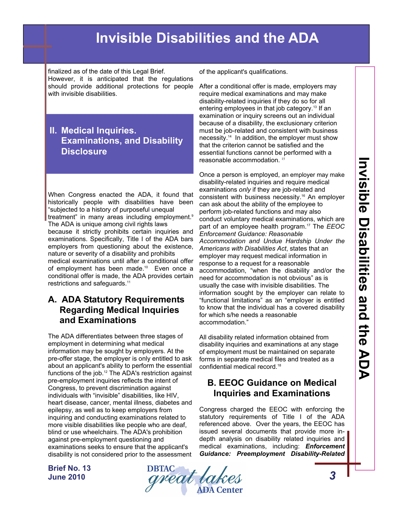finalized as of the date of this Legal Brief. However, it is anticipated that the regulations should provide additional protections for people with invisible disabilities

### **II. Medical Inquiries. Examinations, and Disability Disclosure**

When Congress enacted the ADA, it found that historically people with disabilities have been "subjected to a history of purposeful unequal treatment" in many areas including employment.<sup>9</sup> The ADA is unique among civil rights laws because it strictly prohibits certain inquiries and examinations. Specifically, Title I of the ADA bars employers from questioning about the existence, nature or severity of a disability and prohibits medical examinations until after a conditional offer of employment has been made.<sup>10</sup> Even once a conditional offer is made, the ADA provides certain restrictions and safeguards.<sup>11</sup>

### **A. ADA Statutory Requirements Regarding Medical Inquiries and Examinations**

The ADA differentiates between three stages of employment in determining what medical information may be sought by employers. At the pre-offer stage, the employer is only entitled to ask about an applicant's ability to perform the essential functions of the job.<sup>12</sup> The ADA's restriction against pre-employment inquiries reflects the intent of Congress, to prevent discrimination against individuals with "invisible" disabilities, like HIV, heart disease, cancer, mental illness, diabetes and epilepsy, as well as to keep employers from inquiring and conducting examinations related to more visible disabilities like people who are deaf, blind or use wheelchairs. The ADA's prohibition against pre-employment questioning and examinations seeks to ensure that the applicant's disability is not considered prior to the assessment of the applicant's qualifications.

After a conditional offer is made, employers may require medical examinations and may make disability-related inquiries if they do so for all entering employees in that job category.13 If an examination or inquiry screens out an individual because of a disability, the exclusionary criterion must be job-related and consistent with business necessity.14 In addition, the employer must show that the criterion cannot be satisfied and the essential functions cannot be performed with a reasonable accommodation. <sup>15</sup>

Once a person is employed, an employer may make disability-related inquiries and require medical examinations *only* if they are job-related and consistent with business necessity.16 An employer can ask about the ability of the employee to perform job-related functions and may also conduct voluntary medical examinations, which are part of an employee health program.17 The *EEOC Enforcement Guidance: Reasonable Accommodation and Undue Hardship Under the Americans with Disabilities Act*, states that an employer may request medical information in response to a request for a reasonable accommodation, "when the disability and/or the need for accommodation is not obvious" as is usually the case with invisible disabilities. The information sought by the employer can relate to "functional limitations" as an "employer is entitled to know that the individual has a covered disability for which s/he needs a reasonable accommodation."

All disability related information obtained from disability inquiries and examinations at any stage of employment must be maintained on separate forms in separate medical files and treated as a confidential medical record.18

## **B. EEOC Guidance on Medical Inquiries and Examinations**

Congress charged the EEOC with enforcing the statutory requirements of Title I of the ADA referenced above. Over the years, the EEOC has issued several documents that provide more indepth analysis on disability related inquiries and medical examinations, including: *Enforcement Guidance: Preemployment Disability-Related* 

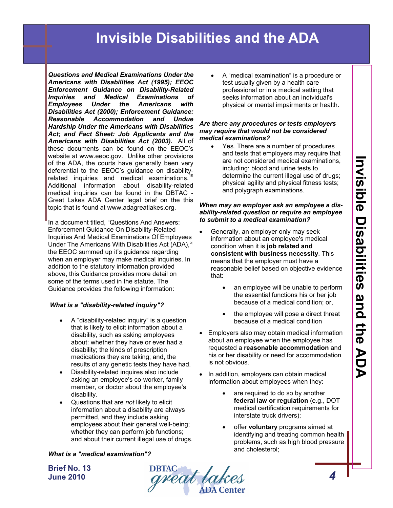*Questions and Medical Examinations Under the Americans with Disabilities Act (1995); EEOC Enforcement Guidance on Disability-Related Inquiries and Medical Examinations of Employees Under the Americans with Disabilities Act (2000); Enforcement Guidance: Reasonable Accommodation and Undue Hardship Under the Americans with Disabilities Act; and Fact Sheet: Job Applicants and the Americans with Disabilities Act (2003).* All of these documents can be found on the EEOC's website at www.eeoc.gov. Unlike other provisions of the ADA, the courts have generally been very deferential to the EEOC's guidance on disabilityrelated inquiries and medical examinations.<sup>1</sup> Additional information about disability-related medical inquiries can be found in the DBTAC - Great Lakes ADA Center legal brief on the this topic that is found at www.adagreatlakes.org.

In a document titled, "Questions And Answers: Enforcement Guidance On Disability-Related Inquiries And Medical Examinations Of Employees Under The Americans With Disabilities Act (ADA),<sup>20</sup> the EEOC summed up it's guidance regarding when an employer may make medical inquiries. In addition to the statutory information provided above, this Guidance provides more detail on some of the terms used in the statute. The Guidance provides the following information:

#### *What is a "disability-related inquiry"?*

- A "disability-related inquiry" is a question that is likely to elicit information about a disability, such as asking employees about: whether they have or ever had a disability; the kinds of prescription medications they are taking; and, the results of any genetic tests they have had.
- Disability-related inquires also include asking an employee's co-worker, family member, or doctor about the employee's disability.
- Questions that are *not* likely to elicit information about a disability are always permitted, and they include asking employees about their general well-being; whether they can perform job functions; and about their current illegal use of drugs.

#### *What is a "medical examination"?*

**Brief No. 13 June 2010** 

**DBTAC**<br>*great lakes* 

 A "medical examination" is a procedure or test usually given by a health care professional or in a medical setting that seeks information about an individual's physical or mental impairments or health.

#### *Are there any procedures or tests employers may require that would not be considered medical examinations?*

• Yes. There are a number of procedures and tests that employers may require that are not considered medical examinations, including: blood and urine tests to determine the current illegal use of drugs; physical agility and physical fitness tests; and polygraph examinations.

#### *When may an employer ask an employee a disability-related question or require an employee to submit to a medical examination?*

- Generally, an employer only may seek information about an employee's medical condition when it is **job related and consistent with business necessity**. This means that the employer must have a reasonable belief based on objective evidence that:
	- an employee will be unable to perform the essential functions his or her job because of a medical condition; or,
	- the employee will pose a direct threat because of a medical condition
- Employers also may obtain medical information about an employee when the employee has requested a **reasonable accommodation** and his or her disability or need for accommodation is not obvious.
- In addition, employers can obtain medical information about employees when they:
	- are required to do so by another **federal law or regulation** (e.g., DOT medical certification requirements for interstate truck drivers);
	- offer **voluntary** programs aimed at identifying and treating common health problems, such as high blood pressure and cholesterol;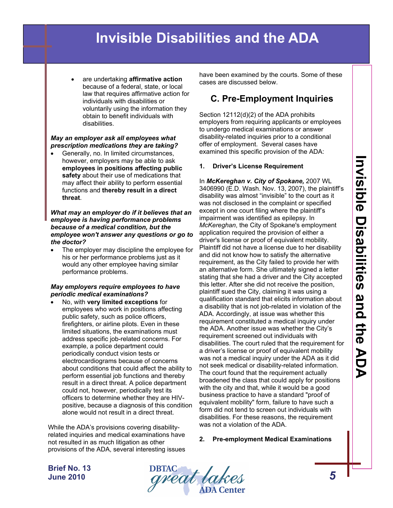are undertaking **affirmative action** because of a federal, state, or local law that requires affirmative action for individuals with disabilities or voluntarily using the information they obtain to benefit individuals with disabilities.

#### *May an employer ask all employees what prescription medications they are taking?*

 Generally, no. In limited circumstances, however, employers may be able to ask **employees in positions affecting public safety** about their use of medications that may affect their ability to perform essential functions and **thereby result in a direct threat**.

#### *What may an employer do if it believes that an employee is having performance problems because of a medical condition, but the employee won't answer any questions or go to the doctor?*

 The employer may discipline the employee for his or her performance problems just as it would any other employee having similar performance problems.

#### *May employers require employees to have periodic medical examinations?*

 No, with **very limited exceptions** for employees who work in positions affecting public safety, such as police officers, firefighters, or airline pilots. Even in these limited situations, the examinations must address specific job-related concerns. For example, a police department could periodically conduct vision tests or electrocardiograms because of concerns about conditions that could affect the ability to perform essential job functions and thereby result in a direct threat. A police department could not, however, periodically test its officers to determine whether they are HIVpositive, because a diagnosis of this condition alone would not result in a direct threat.

While the ADA's provisions covering disabilityrelated inquiries and medical examinations have not resulted in as much litigation as other provisions of the ADA, several interesting issues have been examined by the courts. Some of these cases are discussed below.

# **C. Pre-Employment Inquiries**

Section 12112(d)(2) of the ADA prohibits employers from requiring applicants or employees to undergo medical examinations or answer disability-related inquiries prior to a conditional offer of employment. Several cases have examined this specific provision of the ADA:

#### **1. Driver's License Requirement**

In *McKereghan v. City of Spokane,* 2007 WL 3406990 (E.D. Wash. Nov. 13, 2007), the plaintiff's disability was almost "invisible" to the court as it was not disclosed in the complaint or specified except in one court filing where the plaintiff's impairment was identified as epilepsy. In *McKereghan*, the City of Spokane's employment application required the provision of either a driver's license or proof of equivalent mobility. Plaintiff did not have a license due to her disability and did not know how to satisfy the alternative requirement, as the City failed to provide her with an alternative form. She ultimately signed a letter stating that she had a driver and the City accepted this letter. After she did not receive the position, plaintiff sued the City, claiming it was using a qualification standard that elicits information about a disability that is not job-related in violation of the ADA. Accordingly, at issue was whether this requirement constituted a medical inquiry under the ADA. Another issue was whether the City's requirement screened out individuals with disabilities. The court ruled that the requirement for a driver's license or proof of equivalent mobility was not a medical inquiry under the ADA as it did not seek medical or disability-related information. The court found that the requirement actually broadened the class that could apply for positions with the city and that, while it would be a good business practice to have a standard "proof of equivalent mobility" form, failure to have such a form did not tend to screen out individuals with disabilities. For these reasons, the requirement was not a violation of the ADA.

#### **2. Pre-employment Medical Examinations**

**Invisible Disabilities and the ADA** Invisible Disabilities and the AD.  $\bar{\mathbf{b}}$ 

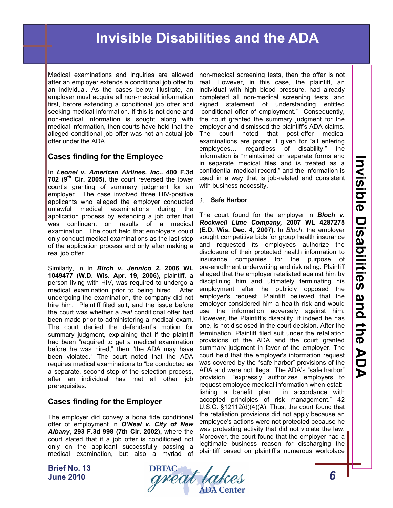Medical examinations and inquiries are allowed after an employer extends a conditional job offer to an individual. As the cases below illustrate, an employer must acquire all non-medical information first, before extending a conditional job offer and seeking medical information. If this is not done and non-medical information is sought along with medical information, then courts have held that the alleged conditional job offer was not an actual job offer under the ADA.

#### **Cases finding for the Employee**

In *Leonel v. American Airlines, Inc.,* **400 F.3d 702 (9th Cir. 2005),** the court reversed the lower court's granting of summary judgment for an employer. The case involved three HIV-positive applicants who alleged the employer conducted unlawful medical examinations during the application process by extending a job offer that was contingent on results of a medical examination. The court held that employers could only conduct medical examinations as the last step of the application process and only after making a real job offer.

Similarly, in In *Birch v. Jennico 2,* **2006 WL 1049477 (W.D. Wis. Apr. 19, 2006),** plaintiff, a person living with HIV, was required to undergo a medical examination prior to being hired. After undergoing the examination, the company did not hire him. Plaintiff filed suit, and the issue before the court was whether a *real* conditional offer had been made prior to administering a medical exam. The court denied the defendant's motion for summary judgment, explaining that if the plaintiff had been "required to get a medical examination before he was hired," then "the ADA may have been violated." The court noted that the ADA requires medical examinations to "be conducted as a separate, second step of the selection process, after an individual has met all other job prerequisites."

#### **Cases finding for the Employer**

The employer did convey a bona fide conditional offer of employment in *O'Neal v. City of New Albany***, 293 F.3d 998 (7th Cir. 2002),** where the court stated that if a job offer is conditioned not only on the applicant successfully passing a medical examination, but also a myriad of

**Brief No. 13 June 2010** 



non-medical screening tests, then the offer is not real. However, in this case, the plaintiff, an individual with high blood pressure, had already completed all non-medical screening tests, and signed statement of understanding entitled "conditional offer of employment." Consequently, the court granted the summary judgment for the employer and dismissed the plaintiff's ADA claims. The court noted that post-offer medical examinations are proper if given for "all entering employees… regardless of disability," the information is "maintained on separate forms and in separate medical files and is treated as a confidential medical record," and the information is used in a way that is job-related and consistent with business necessity.

#### 3. **Safe Harbor**

The court found for the employer in *Bloch v. Rockwell Lime Company,* **2007 WL 4287275 (E.D. Wis. Dec. 4, 2007).** In *Bloch*, the employer sought competitive bids for group health insurance and requested its employees authorize the disclosure of their protected health information to insurance companies for the purpose of pre-enrollment underwriting and risk rating. Plaintiff alleged that the employer retaliated against him by disciplining him and ultimately terminating his employment after he publicly opposed the employer's request. Plaintiff believed that the employer considered him a health risk and would use the information adversely against him. However, the Plaintiff's disability, if indeed he has one, is not disclosed in the court decision. After the termination, Plaintiff filed suit under the retaliation provisions of the ADA and the court granted summary judgment in favor of the employer. The court held that the employer's information request was covered by the "safe harbor" provisions of the ADA and were not illegal. The ADA's "safe harbor" provision, "expressly authorizes employers to request employee medical information when establishing a benefit plan… in accordance with accepted principles of risk management." 42 U.S.C. §12112(d)(4)(A). Thus, the court found that the retaliation provisions did not apply because an employee's actions were not protected because he was protesting activity that did not violate the law. Moreover, the court found that the employer had a legitimate business reason for discharging the plaintiff based on plaintiff's numerous workplace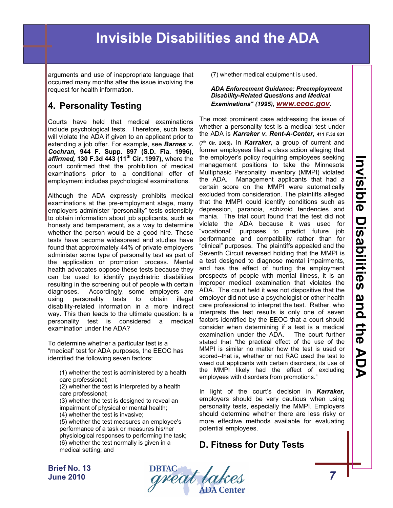arguments and use of inappropriate language that occurred many months after the issue involving the request for health information.

# **4. Personality Testing**

Courts have held that medical examinations include psychological tests. Therefore, such tests will violate the ADA if given to an applicant prior to extending a job offer. For example, see *Barnes v. Cochran,* **944 F. Supp. 897 (S.D. Fla. 1996),**  *affirmed,* **130 F.3d 443 (11th Cir. 1997),** where the court confirmed that the prohibition of medical examinations prior to a conditional offer of employment includes psychological examinations.

Although the ADA expressly prohibits medical examinations at the pre-employment stage, many employers administer "personality" tests ostensibly to obtain information about job applicants, such as honesty and temperament, as a way to determine whether the person would be a good hire. These tests have become widespread and studies have found that approximately 44% of private employers administer some type of personality test as part of the application or promotion process. Mental health advocates oppose these tests because they can be used to identify psychiatric disabilities resulting in the screening out of people with certain diagnoses. Accordingly, some employers are using personality tests to obtain illegal disability-related information in a more indirect way. This then leads to the ultimate question: Is a personality test is considered a medical examination under the ADA?

To determine whether a particular test is a "medical" test for ADA purposes, the EEOC has identified the following seven factors:

(1) whether the test is administered by a health care professional;

(2) whether the test is interpreted by a health care professional;

- (3) whether the test is designed to reveal an impairment of physical or mental health;
- (4) whether the test is invasive;

(5) whether the test measures an employee's performance of a task or measures his/her physiological responses to performing the task; (6) whether the test normally is given in a medical setting; and

(7) whether medical equipment is used.

#### *ADA Enforcement Guidance: Preemployment Disability-Related Questions and Medical Examinations" (1995), [www.eeoc.gov](http://www.eeoc.gov).*

The most prominent case addressing the issue of whether a personality test is a medical test under the ADA is *Karraker v. Rent-A-Center,* **411 F.3d 831 (7th Cir. 2005).** In *Karraker,* a group of current and former employees filed a class action alleging that the employer's policy requiring employees seeking management positions to take the Minnesota Multiphasic Personality Inventory (MMPI) violated the ADA. Management applicants that had a certain score on the MMPI were automatically excluded from consideration. The plaintiffs alleged that the MMPI could identify conditions such as depression, paranoia, schizoid tendencies and mania. The trial court found that the test did not violate the ADA because it was used for "vocational" purposes to predict future job performance and compatibility rather than for "clinical" purposes. The plaintiffs appealed and the Seventh Circuit reversed holding that the MMPI is a test designed to diagnose mental impairments, and has the effect of hurting the employment prospects of people with mental illness, it is an improper medical examination that violates the ADA. The court held it was not dispositive that the employer did not use a psychologist or other health care professional to interpret the test. Rather, who interprets the test results is only one of seven factors identified by the EEOC that a court should consider when determining if a test is a medical examination under the ADA. The court further stated that "the practical effect of the use of the MMPI is similar no matter how the test is used or scored--that is, whether or not RAC used the test to weed out applicants with certain disorders, its use of the MMPI likely had the effect of excluding employees with disorders from promotions."

In light of the court's decision in *Karraker,*  employers should be very cautious when using personality tests, especially the MMPI. Employers should determine whether there are less risky or more effective methods available for evaluating potential employees.

### **D. Fitness for Duty Tests**

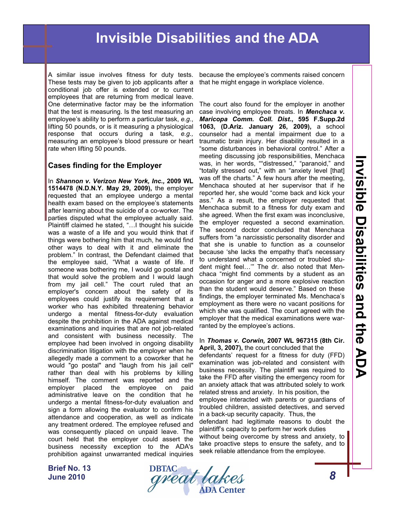A similar issue involves fitness for duty tests. These tests may be given to job applicants after a conditional job offer is extended or to current employees that are returning from medical leave. One determinative factor may be the information that the test is measuring. Is the test measuring an employee's ability to perform a particular task, *e.g*., lifting 50 pounds, or is it measuring a physiological response that occurs during a task, *e.g.,* measuring an employee's blood pressure or heart rate when lifting 50 pounds.

#### **Cases finding for the Employer**

In *Shannon v. Verizon New York, Inc.,* **2009 WL 1514478 (N.D.N.Y. May 29, 2009),** the employer requested that an employee undergo a mental health exam based on the employee's statements after learning about the suicide of a co-worker. The parties disputed what the employee actually said. Plaintiff claimed he stated, "…I thought his suicide was a waste of a life and you would think that if things were bothering him that much, he would find other ways to deal with it and eliminate the problem." In contrast, the Defendant claimed that the employee said, "What a waste of life. If someone was bothering me, I would go postal and that would solve the problem and I would laugh from my jail cell." The court ruled that an employer's concern about the safety of its employees could justify its requirement that a worker who has exhibited threatening behavior undergo a mental fitness-for-duty evaluation despite the prohibition in the ADA against medical examinations and inquiries that are not job-related and consistent with business necessity. The employee had been involved in ongoing disability discrimination litigation with the employer when he allegedly made a comment to a coworker that he would "go postal" and "laugh from his jail cell" rather than deal with his problems by killing himself. The comment was reported and the employer placed the employee on paid administrative leave on the condition that he undergo a mental fitness-for-duty evaluation and sign a form allowing the evaluator to confirm his attendance and cooperation, as well as indicate any treatment ordered. The employee refused and was consequently placed on unpaid leave. The court held that the employer could assert the business necessity exception to the ADA's prohibition against unwarranted medical inquiries

because the employee's comments raised concern that he might engage in workplace violence.

The court also found for the employer in another case involving employee threats. In *Menchaca v. Maricopa Comm. Coll. Dist***., 595 F.Supp.2d 1063, (D.Ariz. January 26, 2009),** a school counselor had a mental impairment due to a traumatic brain injury. Her disability resulted in a "some disturbances in behavioral control." After a meeting discussing job responsibilities, Menchaca was, in her words, ""distressed," "paranoid," and "totally stressed out," with an "anxiety level [that] was off the charts." A few hours after the meeting, Menchaca shouted at her supervisor that if he reported her, she would "come back and kick your ass." As a result, the employer requested that Menchaca submit to a fitness for duty exam and she agreed. When the first exam was inconclusive, the employer requested a second examination. The second doctor concluded that Menchaca suffers from "a narcissistic personality disorder and that she is unable to function as a counselor because 'she lacks the empathy that's necessary to understand what a concerned or troubled student might feel…'" The dr. also noted that Menchaca "might find comments by a student as an occasion for anger and a more explosive reaction than the student would deserve." Based on these findings, the employer terminated Ms. Menchaca's employment as there were no vacant positions for which she was qualified. The court agreed with the employer that the medical examinations were warranted by the employee's actions.

#### In *Thomas v. Corwin,* **2007 WL 967315 (8th Cir. April, 3, 2007),** the court concluded that the

defendants' request for a fitness for duty (FFD) examination was job-related and consistent with business necessity. The plaintiff was required to take the FFD after visiting the emergency room for an anxiety attack that was attributed solely to work related stress and anxiety. In his position, the employee interacted with parents or guardians of troubled children, assisted detectives, and served in a back-up security capacity. Thus, the defendant had legitimate reasons to doubt the plaintiff's capacity to perform her work duties without being overcome by stress and anxiety, to take proactive steps to ensure the safety, and to seek reliable attendance from the employee.

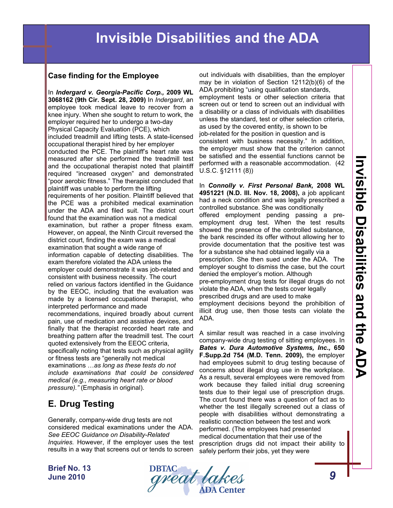### **Case finding for the Employee**

In *Indergard v. Georgia-Pacific Corp.,* **2009 WL 3068162 (9th Cir. Sept. 28, 2009)** In *Indergard*, an employee took medical leave to recover from a knee injury. When she sought to return to work, the employer required her to undergo a two-day Physical Capacity Evaluation (PCE), which included treadmill and lifting tests. A state-licensed occupational therapist hired by her employer conducted the PCE. The plaintiff's heart rate was measured after she performed the treadmill test and the occupational therapist noted that plaintiff required "increased oxygen" and demonstrated "poor aerobic fitness." The therapist concluded that plaintiff was unable to perform the lifting requirements of her position. Plaintiff believed that the PCE was a prohibited medical examination under the ADA and filed suit. The district court found that the examination was not a medical examination, but rather a proper fitness exam. However, on appeal, the Ninth Circuit reversed the district court, finding the exam was a medical examination that sought a wide range of information capable of detecting disabilities. The exam therefore violated the ADA unless the employer could demonstrate it was job-related and consistent with business necessity. The court relied on various factors identified in the Guidance by the EEOC, including that the evaluation was made by a licensed occupational therapist, who interpreted performance and made recommendations, inquired broadly about current pain, use of medication and assistive devices, and finally that the therapist recorded heart rate and breathing pattern after the treadmill test. The court quoted extensively from the EEOC criteria, specifically noting that tests such as physical agility or fitness tests are "generally not medical examinations …*as long as these tests do not include examinations that could be considered* 

#### *medical (e.g., measuring heart rate or blood pressure)."* (Emphasis in original).

# **E. Drug Testing**

Generally, company-wide drug tests are not considered medical examinations under the ADA. *See EEOC Guidance on Disability-Related Inquiries.* However, if the employer uses the test results in a way that screens out or tends to screen

out individuals with disabilities, than the employer may be in violation of Section 12112(b)(6) of the ADA prohibiting "using qualification standards, employment tests or other selection criteria that screen out or tend to screen out an individual with a disability or a class of individuals with disabilities unless the standard, test or other selection criteria, as used by the covered entity, is shown to be job-related for the position in question and is consistent with business necessity." In addition, the employer must show that the criterion cannot be satisfied and the essential functions cannot be performed with a reasonable accommodation. (42  $U.S.C. §12111(8)$ 

In *Connolly v. First Personal Bank,* **2008 WL 4951221 (N.D. Ill. Nov. 18, 2008),** a job applicant had a neck condition and was legally prescribed a controlled substance. She was conditionally offered employment pending passing a preemployment drug test. When the test results showed the presence of the controlled substance,

the bank rescinded its offer without allowing her to provide documentation that the positive test was for a substance she had obtained legally via a

prescription. She then sued under the ADA. The employer sought to dismiss the case, but the court denied the employer's motion. Although

pre-employment drug tests for illegal drugs do not violate the ADA, when the tests cover legally

prescribed drugs and are used to make

employment decisions beyond the prohibition of illicit drug use, then those tests can violate the ADA.

A similar result was reached in a case involving company-wide drug testing of sitting employees. In *Bates v. Dura Automotive Systems, Inc.,* **650 F.Supp.2d 754 (M.D. Tenn. 2009),** the employer had employees submit to drug testing because of concerns about illegal drug use in the workplace. As a result, several employees were removed from work because they failed initial drug screening tests due to their legal use of prescription drugs. The court found there was a question of fact as to whether the test illegally screened out a class of people with disabilities without demonstrating a realistic connection between the test and work performed. (The employees had presented medical documentation that their use of the prescription drugs did not impact their ability to safely perform their jobs, yet they were

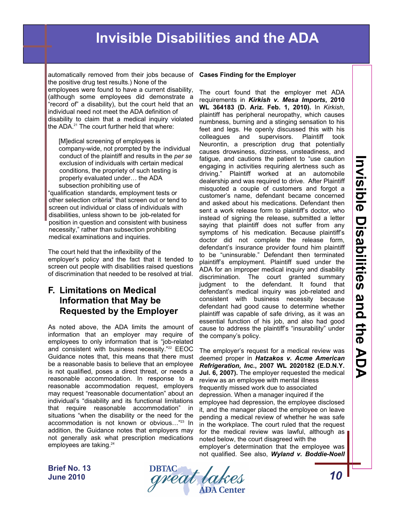automatically removed from their jobs because of **Cases Finding for the Employer**  the positive drug test results.) None of the employees were found to have a current disability, (although some employees did demonstrate a "record of" a disability), but the court held that an individual need not meet the ADA definition of disability to claim that a medical inquiry violated the ADA.<sup>21</sup> The court further held that where:

[M]edical screening of employees is company-wide, not prompted by the individual conduct of the plaintiff and results in the *per se* exclusion of individuals with certain medical conditions, the propriety of such testing is properly evaluated under… the ADA subsection prohibiting use of

"qualification standards, employment tests or other selection criteria" that screen out or tend to screen out individual or class of individuals with disabilities, unless shown to be job-related for position in question and consistent with business necessity," rather than subsection prohibiting medical examinations and inquiries.

The court held that the inflexibility of the employer's policy and the fact that it tended to screen out people with disabilities raised questions of discrimination that needed to be resolved at trial.

### **F. Limitations on Medical Information that May be Requested by the Employer**

As noted above, the ADA limits the amount of information that an employer may require of employees to only information that is "job-related and consistent with business necessity."<sup>22</sup> EEOC Guidance notes that, this means that there must be a reasonable basis to believe that an employee is not qualified, poses a direct threat, or needs a reasonable accommodation. In response to a reasonable accommodation request, employers may request "reasonable documentation" about an individual's "disability and its functional limitations that require reasonable accommodation" in situations "when the disability or the need for the accommodation is not known or obvious…"23 In addition, the Guidance notes that employers may not generally ask what prescription medications employees are taking.<sup>24</sup>

The court found that the employer met ADA requirements in *Kirkish v. Mesa Imports***, 2010 WL 364183 (D. Ariz. Feb. 1, 2010).** In *Kirkish*, plaintiff has peripheral neuropathy, which causes numbness, burning and a stinging sensation to his feet and legs. He openly discussed this with his colleagues and supervisors. Plaintiff took Neurontin, a prescription drug that potentially causes drowsiness, dizziness, unsteadiness, and fatigue, and cautions the patient to "use caution engaging in activities requiring alertness such as driving." Plaintiff worked at an automobile dealership and was required to drive. After Plaintiff misquoted a couple of customers and forgot a customer's name, defendant became concerned and asked about his medications. Defendant then sent a work release form to plaintiff's doctor, who instead of signing the release, submitted a letter saying that plaintiff does not suffer from any symptoms of his medication. Because plaintiff's doctor did not complete the release form, defendant's insurance provider found him plaintiff to be "uninsurable." Defendant then terminated plaintiff's employment. Plaintiff sued under the ADA for an improper medical inquiry and disability discrimination. The court granted summary judgment to the defendant. It found that defendant's medical inquiry was job-related and consistent with business necessity because defendant had good cause to determine whether plaintiff was capable of safe driving, as it was an essential function of his job, and also had good cause to address the plaintiff's "insurability" under the company's policy.

The employer's request for a medical review was deemed proper in *Hatzakos v. Acme American Refrigeration, Inc.***, 2007 WL 2020182 (E.D.N.Y. Jul. 6, 2007).** The employer requested the medical review as an employee with mental illness frequently missed work due to associated depression. When a manager inquired if the employee had depression, the employee disclosed it, and the manager placed the employee on leave pending a medical review of whether he was safe in the workplace. The court ruled that the request for the medical review was lawful, although as noted below, the court disagreed with the employer's determination that the employee was not qualified. See also, *Wyland v. Boddie-Noell* 

**Invisible Disabilities and the ADA Invision disabilities and the DDA** 

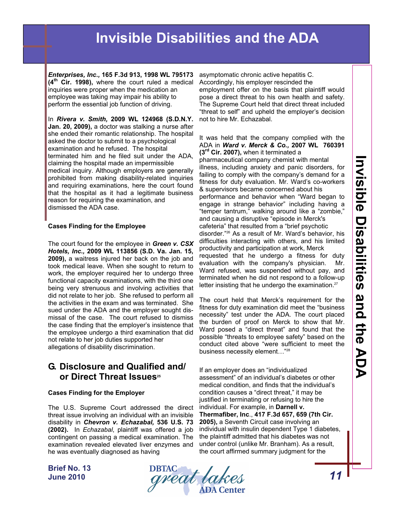*Enterprises, Inc.,* **165 F.3d 913, 1998 WL 795173 (4th Cir. 1998),** where the court ruled a medical inquiries were proper when the medication an employee was taking may impair his ability to perform the essential job function of driving.

In *Rivera v. Smith,* **2009 WL 124968 (S.D.N.Y. Jan. 20, 2009),** a doctor was stalking a nurse after she ended their romantic relationship. The hospital asked the doctor to submit to a psychological examination and he refused. The hospital terminated him and he filed suit under the ADA, claiming the hospital made an impermissible medical inquiry. Although employers are generally prohibited from making disability-related inquiries and requiring examinations, here the court found that the hospital as it had a legitimate business reason for requiring the examination, and dismissed the ADA case.

#### **Cases Finding for the Employee**

The court found for the employee in *Green v. CSX Hotels, Inc.,* **2009 WL 113856 (S.D. Va. Jan. 15, 2009),** a waitress injured her back on the job and took medical leave. When she sought to return to work, the employer required her to undergo three functional capacity examinations, with the third one being very strenuous and involving activities that did not relate to her job. She refused to perform all the activities in the exam and was terminated. She sued under the ADA and the employer sought dismissal of the case. The court refused to dismiss the case finding that the employer's insistence that the employee undergo a third examination that did not relate to her job duties supported her allegations of disability discrimination.

### **G. Disclosure and Qualified and/ or Direct Threat Issues**<sup>25</sup>

#### **Cases Finding for the Employer**

The U.S. Supreme Court addressed the direct threat issue involving an individual with an invisible disability in *Chevron v. Echazabal,* **536 U.S. 73 (2002).** In *Echazabal*, plaintiff was offered a job contingent on passing a medical examination. The examination revealed elevated liver enzymes and he was eventually diagnosed as having

asymptomatic chronic active hepatitis C. Accordingly, his employer rescinded the employment offer on the basis that plaintiff would pose a direct threat to his own health and safety. The Supreme Court held that direct threat included "threat to self" and upheld the employer's decision not to hire Mr. Echazabal.

It was held that the company complied with the ADA in *Ward v. Merck & Co.,* **2007 WL 760391 (3rd Cir. 2007),** when it terminated a pharmaceutical company chemist with mental illness, including anxiety and panic disorders, for failing to comply with the company's demand for a fitness for duty evaluation. Mr. Ward's co-workers & supervisors became concerned about his performance and behavior when "Ward began to engage in strange behavior" including having a "temper tantrum," walking around like a "zombie," and causing a disruptive "episode in Merck's cafeteria" that resulted from a "brief psychotic disorder."26 As a result of Mr. Ward's behavior, his difficulties interacting with others, and his limited productivity and participation at work, Merck requested that he undergo a fitness for duty evaluation with the company's physician. Mr. Ward refused, was suspended without pay, and terminated when he did not respond to a follow-up letter insisting that he undergo the examination.<sup>27</sup>

The court held that Merck's requirement for the fitness for duty examination did meet the "business necessity" test under the ADA. The court placed the burden of proof on Merck to show that Mr. Ward posed a "direct threat" and found that the possible "threats to employee safety" based on the conduct cited above "were sufficient to meet the business necessity element…"28

If an employer does an "individualized assessment" of an individual's diabetes or other medical condition, and finds that the individual's condition causes a "direct threat," it may be justified in terminating or refusing to hire the individual. For example, in **Darnell v. Thermafiber, Inc**., **417 F.3d 657, 659 (7th Cir. 2005),** a Seventh Circuit case involving an individual with insulin dependent Type 1 diabetes, the plaintiff admitted that his diabetes was not under control (unlike Mr. Branham). As a result, the court affirmed summary judgment for the

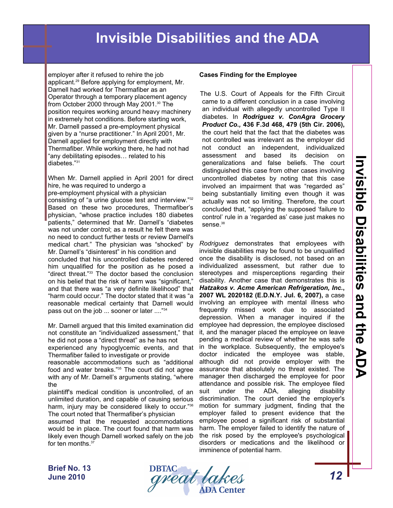employer after it refused to rehire the job applicant.29 Before applying for employment, Mr. Darnell had worked for Thermafiber as an Operator through a temporary placement agency from October 2000 through May 2001.<sup>30</sup> The position requires working around heavy machinery in extremely hot conditions. Before starting work, Mr. Darnell passed a pre-employment physical given by a "nurse practitioner." In April 2001, Mr. Darnell applied for employment directly with Thermafiber. While working there, he had not had "any debilitating episodes… related to his diabetes."31

When Mr. Darnell applied in April 2001 for direct hire, he was required to undergo a pre-employment physical with a physician consisting of "a urine glucose test and interview."32 Based on these two procedures, Thermafiber's physician, "whose practice includes 180 diabetes patients," determined that Mr. Darnell's "diabetes was not under control; as a result he felt there was no need to conduct further tests or review Darnell's medical chart." The physician was "shocked" by Mr. Darnell's "disinterest" in his condition and concluded that his uncontrolled diabetes rendered him unqualified for the position as he posed a "direct threat."33 The doctor based the conclusion on his belief that the risk of harm was "significant," and that there was "a very definite likelihood" that "harm could occur." The doctor stated that it was "a reasonable medical certainty that Darnell would pass out on the job ... sooner or later ...."34

Mr. Darnell argued that this limited examination did not constitute an "individualized assessment," that he did not pose a "direct threat" as he has not experienced any hypoglycemic events, and that Thermafiber failed to investigate or provide reasonable accommodations such as "additional food and water breaks."35 The court did not agree with any of Mr. Darnell's arguments stating, "where the

plaintiff's medical condition is uncontrolled, of an unlimited duration, and capable of causing serious harm, injury may be considered likely to occur."36 The court noted that Thermafiber's physician

assumed that the requested accommodations would be in place. The court found that harm was likely even though Darnell worked safely on the job for ten months.<sup>37</sup>

#### **Cases Finding for the Employee**

The U.S. Court of Appeals for the Fifth Circuit came to a different conclusion in a case involving an individual with allegedly uncontrolled Type II diabetes. In *Rodriguez v. ConAgra Grocery Product Co.,* **436 F.3d 468, 479 (5th Cir. 2006),**  the court held that the fact that the diabetes was not controlled was irrelevant as the employer did not conduct an independent, individualized assessment and based its decision on generalizations and false beliefs. The court distinguished this case from other cases involving uncontrolled diabetes by noting that this case involved an impairment that was "regarded as" being substantially limiting even though it was actually was not so limiting. Therefore, the court concluded that, "applying the supposed 'failure to control' rule in a 'regarded as' case just makes no sense.<sup>38</sup>

*Rodriguez* demonstrates that employees with invisible disabilities may be found to be unqualified once the disability is disclosed, not based on an individualized assessment, but rather due to stereotypes and misperceptions regarding their disability. Another case that demonstrates this is *Hatzakos v. Acme American Refrigeration, Inc.***, 2007 WL 2020182 (E.D.N.Y. Jul. 6, 2007),** a case involving an employee with mental illness who frequently missed work due to associated depression. When a manager inquired if the employee had depression, the employee disclosed it, and the manager placed the employee on leave pending a medical review of whether he was safe in the workplace. Subsequently, the employee's doctor indicated the employee was stable, although did not provide employer with the assurance that absolutely no threat existed. The manager then discharged the employee for poor attendance and possible risk. The employee filed suit under the ADA, alleging disability discrimination. The court denied the employer's motion for summary judgment, finding that the employer failed to present evidence that the employee posed a significant risk of substantial harm. The employer failed to identify the nature of the risk posed by the employee's psychological disorders or medications and the likelihood or imminence of potential harm.

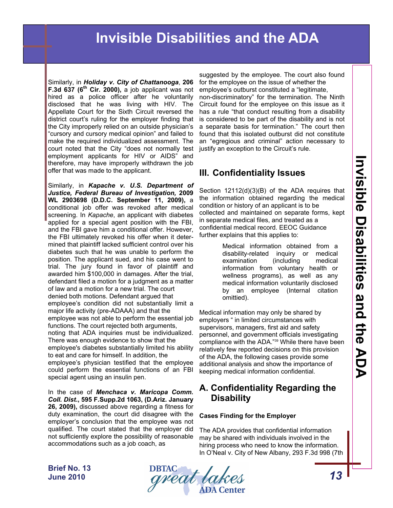Similarly, in *Holiday v. City of Chattanooga*, **206 F.3d 637 (6<sup>th</sup> Cir. 2000)**, a job applicant was not hired as a police officer after he voluntarily disclosed that he was living with HIV. The Appellate Court for the Sixth Circuit reversed the district court's ruling for the employer finding that the City improperly relied on an outside physician's "cursory and cursory medical opinion" and failed to make the required individualized assessment. The court noted that the City "does not normally test employment applicants for HIV or AIDS" and therefore, may have improperly withdrawn the job offer that was made to the applicant.

Similarly, in *Kapache v. U.S. Department of Justice, Federal Bureau of Investigation,* **2009 WL 2903698 (D.D.C. September 11, 2009),** a conditional job offer was revoked after medical screening. In *Kapache*, an applicant with diabetes applied for a special agent position with the FBI, and the FBI gave him a conditional offer. However, the FBI ultimately revoked his offer when it determined that plaintiff lacked sufficient control over his diabetes such that he was unable to perform the position. The applicant sued, and his case went to trial. The jury found in favor of plaintiff and awarded him \$100,000 in damages. After the trial, defendant filed a motion for a judgment as a matter of law and a motion for a new trial. The court denied both motions. Defendant argued that employee's condition did not substantially limit a major life activity (pre-ADAAA) and that the employee was not able to perform the essential job functions. The court rejected both arguments, noting that ADA inquiries must be individualized. There was enough evidence to show that the employee's diabetes substantially limited his ability to eat and care for himself. In addition, the employee's physician testified that the employee could perform the essential functions of an FBI special agent using an insulin pen.

In the case of *Menchaca v. Maricopa Comm. Coll. Dist***., 595 F.Supp.2d 1063, (D.Ariz. January 26, 2009),** discussed above regarding a fitness for duty examination, the court did disagree with the employer's conclusion that the employee was not qualified. The court stated that the employer did not sufficiently explore the possibility of reasonable accommodations such as a job coach, as

suggested by the employee. The court also found for the employee on the issue of whether the employee's outburst constituted a "legitimate, non-discriminatory" for the termination. The Ninth Circuit found for the employee on this issue as it has a rule "that conduct resulting from a disability is considered to be part of the disability and is not a separate basis for termination." The court then found that this isolated outburst did not constitute an "egregious and criminal" action necessary to justify an exception to the Circuit's rule.

## **III. Confidentiality Issues**

Section 12112(d)(3)(B) of the ADA requires that the information obtained regarding the medical condition or history of an applicant is to be collected and maintained on separate forms, kept in separate medical files, and treated as a confidential medical record. EEOC Guidance further explains that this applies to:

> Medical information obtained from a disability-related inquiry or medical examination (including medical information from voluntary health or wellness programs), as well as any medical information voluntarily disclosed by an employee (Internal citation omittied).

Medical information may only be shared by employers " in limited circumstances with supervisors, managers, first aid and safety personnel, and government officials investigating compliance with the ADA."39 While there have been relatively few reported decisions on this provision of the ADA, the following cases provide some additional analysis and show the importance of keeping medical information confidential.

## **A. Confidentiality Regarding the Disability**

#### **Cases Finding for the Employer**

The ADA provides that confidential information may be shared with individuals involved in the hiring process who need to know the information. In O'Neal v. City of New Albany, 293 F.3d 998 (7th

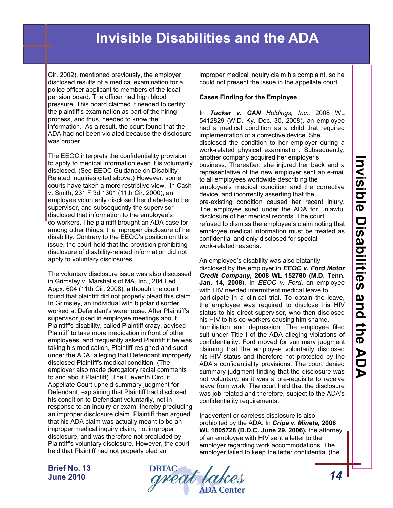Cir. 2002), mentioned previously, the employer disclosed results of a medical examination for a police officer applicant to members of the local pension board. The officer had high blood pressure. This board claimed it needed to certify the plaintiff's examination as part of the hiring process, and thus, needed to know the information. As a result, the court found that the ADA had not been violated because the disclosure was proper.

The EEOC interprets the confidentiality provision to apply to medical information even it is voluntarily disclosed. (See EEOC Guidance on Disability-Related Inquiries cited above.) However, some courts have taken a more restrictive view. In Cash v. Smith, 231 F.3d 1301 (11th Cir. 2000), an employee voluntarily disclosed her diabetes to her supervisor, and subsequently the supervisor disclosed that information to the employee's co-workers. The plaintiff brought an ADA case for, among other things, the improper disclosure of her disability. Contrary to the EEOC's position on this issue, the court held that the provision prohibiting disclosure of disability-related information did not apply to voluntary disclosures.

The voluntary disclosure issue was also discussed in Grimsley v. Marshalls of MA, Inc., 284 Fed. Appx. 604 (11th Cir. 2008), although the court found that plaintiff did not properly plead this claim. In Grimsley, an individual with bipolar disorder, worked at Defendant's warehouse. After Plaintiff's supervisor joked in employee meetings about Plaintiff's disability, called Plaintiff crazy, advised Plaintiff to take more medication in front of other employees, and frequently asked Plaintiff if he was taking his medication, Plaintiff resigned and sued under the ADA, alleging that Defendant improperly disclosed Plaintiff's medical condition. (The employer also made derogatory racial comments to and about Plaintiff). The Eleventh Circuit Appellate Court upheld summary judgment for Defendant, explaining that Plaintiff had disclosed his condition to Defendant voluntarily, not in response to an inquiry or exam, thereby precluding an improper disclosure claim. Plaintiff then argued that his ADA claim was actually meant to be an improper medical inquiry claim, not improper disclosure, and was therefore not precluded by Plaintiff's voluntary disclosure. However, the court held that Plaintiff had not properly pled an

improper medical inquiry claim his complaint, so he could not present the issue in the appellate court.

#### **Cases Finding for the Employee**

In *Tucker v. CAN Holdings, Inc.,* 2008 WL 5412829 (W.D. Ky. Dec. 30, 2008), an employee had a medical condition as a child that required implementation of a corrective device. She disclosed the condition to her employer during a work-related physical examination. Subsequently, another company acquired her employer's business. Thereafter, she injured her back and a representative of the new employer sent an e-mail to all employees worldwide describing the employee's medical condition and the corrective device, and incorrectly asserting that the pre-existing condition caused her recent injury. The employee sued under the ADA for unlawful disclosure of her medical records. The court refused to dismiss the employee's claim noting that employee medical information must be treated as confidential and only disclosed for special work-related reasons.

An employee's disability was also blatantly disclosed by the employer in *EEOC v. Ford Motor Credit Company,* **2008 WL 152780 (M.D. Tenn. Jan. 14, 2008)**. In *EEOC v. Ford***,** an employee with HIV needed intermittent medical leave to participate in a clinical trial. To obtain the leave, the employee was required to disclose his HIV status to his direct supervisor, who then disclosed his HIV to his co-workers causing him shame, humiliation and depression. The employee filed suit under Title I of the ADA alleging violations of confidentiality. Ford moved for summary judgment claiming that the employee voluntarily disclosed his HIV status and therefore not protected by the ADA's confidentiality provisions. The court denied summary judgment finding that the disclosure was not voluntary, as it was a pre-requisite to receive leave from work. The court held that the disclosure was job-related and therefore, subject to the ADA's confidentiality requirements.

Inadvertent or careless disclosure is also prohibited by the ADA. In *Cripe v. Mineta,* **2006 WL 1805728 (D.D.C. June 29, 2006),** the attorney of an employee with HIV sent a letter to the employer regarding work accommodations. The employer failed to keep the letter confidential (the

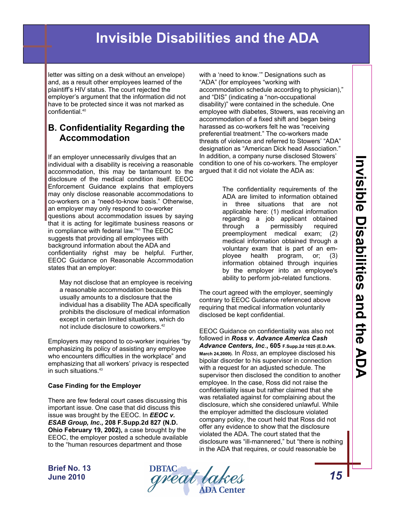letter was sitting on a desk without an envelope) and, as a result other employees learned of the plaintiff's HIV status. The court rejected the employer's argument that the information did not have to be protected since it was not marked as confidential.40

### **B. Confidentiality Regarding the Accommodation**

If an employer unnecessarily divulges that an individual with a disability is receiving a reasonable accommodation, this may be tantamount to the disclosure of the medical condition itself. EEOC Enforcement Guidance explains that employers may only disclose reasonable accommodations to co-workers on a "need-to-know basis." Otherwise, an employer may only respond to co-worker questions about accommodation issues by saying that it is acting for legitimate business reasons or in compliance with federal law."41 The EEOC suggests that providing all employees with background information about the ADA and confidentiality righst may be helpful. Further, EEOC Guidance on Reasonable Accommodation states that an employer:

 May not disclose that an employee is receiving a reasonable accommodation because this usually amounts to a disclosure that the individual has a disability The ADA specifically prohibits the disclosure of medical information except in certain limited situations, which do not include disclosure to coworkers.42

Employers may respond to co-worker inquiries "by emphasizing its policy of assisting any employee who encounters difficulties in the workplace" and emphasizing that all workers' privacy is respected in such situations.43

#### **Case Finding for the Employer**

There are few federal court cases discussing this important issue. One case that did discuss this issue was brought by the EEOC. In *EEOC v. ESAB Group, Inc.,* **208 F.Supp.2d 827 (N.D. Ohio February 19, 2002),** a case brought by the EEOC, the employer posted a schedule available to the "human resources department and those

with a 'need to know.'" Designations such as "ADA" (for employees "working with accommodation schedule according to physician)," and "DIS" (indicating a "non-occupational disability)" were contained in the schedule. One employee with diabetes, Stowers, was receiving an accommodation of a fixed shift and began being harassed as co-workers felt he was "receiving preferential treatment." The co-workers made threats of violence and referred to Stowers' "ADA" designation as "American Dick head Association." In addition, a company nurse disclosed Stowers' condition to one of his co-workers. The employer argued that it did not violate the ADA as:

> The confidentiality requirements of the ADA are limited to information obtained in three situations that are not applicable here: (1) medical information regarding a job applicant obtained through a permissibly required preemployment medical exam; (2) medical information obtained through a voluntary exam that is part of an employee health program, or; (3) information obtained through inquiries by the employer into an employee's ability to perform job-related functions.

The court agreed with the employer, seemingly contrary to EEOC Guidance referenced above requiring that medical information voluntarily disclosed be kept confidential.

EEOC Guidance on confidentiality was also not followed in *Ross v. Advance America Cash Advance Centers, Inc*.**, 605 F.Supp.2d 1025 (E.D.Ark. March 24,2009).** In *Ross*, an employee disclosed his bipolar disorder to his supervisor in connection with a request for an adjusted schedule. The supervisor then disclosed the condition to another employee. In the case, Ross did not raise the confidentiality issue but rather claimed that she was retaliated against for complaining about the disclosure, which she considered unlawful. While the employer admitted the disclosure violated company policy, the court held that Ross did not offer any evidence to show that the disclosure violated the ADA. The court stated that the disclosure was "ill-mannered," but "there is nothing in the ADA that requires, or could reasonable be

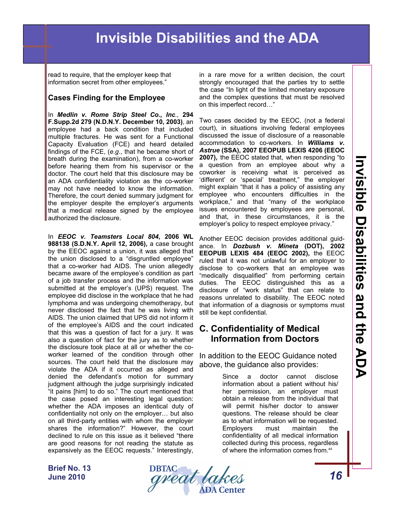read to require, that the employer keep that information secret from other employees."

#### **Cases Finding for the Employee**

In *Medlin v. Rome Strip Steel Co., Inc.,* **294 F.Supp.2d 279 (N.D.N.Y. December 10, 2003)**, an employee had a back condition that included multiple fractures. He was sent for a Functional Capacity Evaluation (FCE) and heard detailed findings of the FCE, (*e.g*., that he became short of breath during the examination), from a co-worker before hearing them from his supervisor or the doctor. The court held that this disclosure may be an ADA confidentiality violation as the co-worker may not have needed to know the information. Therefore, the court denied summary judgment for the employer despite the employer's arguments that a medical release signed by the employee authorized the disclosure.

In *EEOC v. Teamsters Local 804***, 2006 WL 988138 (S.D.N.Y. April 12, 2006),** a case brought by the EEOC against a union, it was alleged that the union disclosed to a "disgruntled employee" that a co-worker had AIDS. The union allegedly became aware of the employee's condition as part of a job transfer process and the information was submitted at the employer's (UPS) request. The employee did disclose in the workplace that he had lymphoma and was undergoing chemotherapy, but never disclosed the fact that he was living with AIDS. The union claimed that UPS did not inform it of the employee's AIDS and the court indicated that this was a question of fact for a jury. It was also a question of fact for the jury as to whether the disclosure took place at all or whether the coworker learned of the condition through other sources. The court held that the disclosure may violate the ADA if it occurred as alleged and denied the defendant's motion for summary judgment although the judge surprisingly indicated "it pains [him] to do so." The court mentioned that the case posed an interesting legal question: whether the ADA imposes an identical duty of confidentiality not only on the employer… but also on all third-party entities with whom the employer shares the information?" However, the court declined to rule on this issue as it believed "there are good reasons for not reading the statute as expansively as the EEOC requests." Interestingly,

in a rare move for a written decision, the court strongly encouraged that the parties try to settle the case "In light of the limited monetary exposure and the complex questions that must be resolved on this imperfect record…"

Two cases decided by the EEOC, (not a federal court), in situations involving federal employees discussed the issue of disclosure of a reasonable accommodation to co-workers. In *Williams v. Astrue* **(SSA), 2007 EEOPUB LEXIS 4206 (EEOC 2007),** the EEOC stated that, when responding "to a question from an employee about why a coworker is receiving what is perceived as 'different' or 'special' treatment," the employer might explain "that it has a policy of assisting any employee who encounters difficulties in the workplace," and that "many of the workplace issues encountered by employees are personal, and that, in these circumstances, it is the employer's policy to respect employee privacy."

Another EEOC decision provides additional guidance. In *Dozbush v. Mineta* **(DOT), 2002 EEOPUB LEXIS 484 (EEOC 2002),** the EEOC ruled that it was not unlawful for an employer to disclose to co-workers that an employee was "medically disqualified" from performing certain duties. The EEOC distinguished this as a disclosure of "work status" that can relate to reasons unrelated to disability. The EEOC noted that information of a diagnosis or symptoms must still be kept confidential.

### **C. Confidentiality of Medical Information from Doctors**

In addition to the EEOC Guidance noted above, the guidance also provides:

> Since a doctor cannot disclose information about a patient without his/ her permission, an employer must obtain a release from the individual that will permit his/her doctor to answer questions. The release should be clear as to what information will be requested. Employers must maintain the confidentiality of all medical information collected during this process, regardless of where the information comes from.<sup>44</sup>

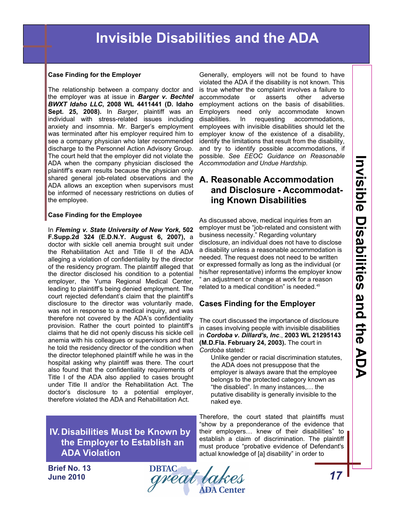#### **Case Finding for the Employer**

The relationship between a company doctor and the employer was at issue in *Barger v. Bechtel BWXT Idaho LLC***, 2008 WL 4411441 (D. Idaho Sept. 25, 2008).** In *Barger*, plaintiff was an individual with stress-related issues including anxiety and insomnia. Mr. Barger's employment was terminated after his employer required him to see a company physician who later recommended discharge to the Personnel Action Advisory Group. The court held that the employer did not violate the ADA when the company physician disclosed the plaintiff's exam results because the physician only shared general job-related observations and the ADA allows an exception when supervisors must be informed of necessary restrictions on duties of the employee.

#### **Case Finding for the Employee**

In *Fleming v. State University of New York,* **502 F.Supp.2d 324 (E.D.N.Y. August 6, 2007),** a doctor with sickle cell anemia brought suit under the Rehabilitation Act and Title II of the ADA alleging a violation of confidentiality by the director of the residency program. The plaintiff alleged that the director disclosed his condition to a potential employer, the Yuma Regional Medical Center, leading to plaintiff's being denied employment. The court rejected defendant's claim that the plaintiff's disclosure to the director was voluntarily made, was not in response to a medical inquiry, and was therefore not covered by the ADA's confidentiality provision. Rather the court pointed to plaintiff's claims that he did not openly discuss his sickle cell anemia with his colleagues or supervisors and that he told the residency director of the condition when the director telephoned plaintiff while he was in the hospital asking why plaintiff was there. The court also found that the confidentiality requirements of Title I of the ADA also applied to cases brought under Title II and/or the Rehabilitation Act. The doctor's disclosure to a potential employer, therefore violated the ADA and Rehabilitation Act.

**IV. Disabilities Must be Known by the Employer to Establish an ADA Violation** 

Generally, employers will not be found to have violated the ADA if the disability is not known. This is true whether the complaint involves a failure to accommodate or asserts other adverse employment actions on the basis of disabilities. Employers need only accommodate known disabilities. In requesting accommodations, employees with invisible disabilities should let the employer know of the existence of a disability, identify the limitations that result from the disability, and try to identify possible accommodations, if possible. *See EEOC Guidance on Reasonable Accommodation and Undue Hardship.* 

## **A. Reasonable Accommodation and Disclosure - Accommodating Known Disabilities**

As discussed above, medical inquiries from an employer must be "job-related and consistent with business necessity." Regarding voluntary disclosure, an individual does not have to disclose a disability unless a reasonable accommodation is needed. The request does not need to be written or expressed formally as long as the individual (or his/her representative) informs the employer know an adjustment or change at work for a reason related to a medical condition" is needed.<sup>45</sup>

### **Cases Finding for the Employer**

The court discussed the importance of disclosure in cases involving people with invisible disabilities in *Cordoba v. Dillard's, Inc*., **2003 WL 21295143 (M.D.Fla. February 24, 2003).** The court in *Cordoba* stated:

 Unlike gender or racial discrimination statutes, the ADA does not presuppose that the employer is always aware that the employee belongs to the protected category known as "the disabled". In many instances,… the putative disability is generally invisible to the naked eye.

Therefore, the court stated that plaintiffs must "show by a preponderance of the evidence that their employers… knew of their disabilities" to establish a claim of discrimination. The plaintiff must produce "probative evidence of Defendant's actual knowledge of [a] disability" in order to

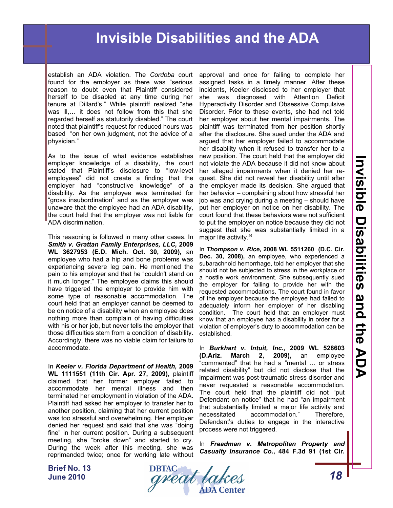establish an ADA violation. The *Cordoba* court found for the employer as there was "serious reason to doubt even that Plaintiff considered herself to be disabled at any time during her tenure at Dillard's." While plaintiff realized "she was ill,… it does not follow from this that she regarded herself as statutorily disabled." The court noted that plaintiff's request for reduced hours was based "on her own judgment, not the advice of a physician."

As to the issue of what evidence establishes employer knowledge of a disability, the court stated that Plaintiff's disclosure to "low-level employees" did not create a finding that the employer had "constructive knowledge" of a disability. As the employee was terminated for "gross insubordination" and as the employer was unaware that the employee had an ADA disability, the court held that the employer was not liable for ADA discrimination.

This reasoning is followed in many other cases. In *Smith v. Grattan Family Enterprises, LLC,* **2009 WL 3627953 (E.D. Mich. Oct. 30, 2009),** an employee who had a hip and bone problems was experiencing severe leg pain. He mentioned the pain to his employer and that he "couldn't stand on it much longer." The employee claims this should have triggered the employer to provide him with some type of reasonable accommodation. The court held that an employer cannot be deemed to be on notice of a disability when an employee does nothing more than complain of having difficulties with his or her job, but never tells the employer that those difficulties stem from a condition of disability. Accordingly, there was no viable claim for failure to accommodate.

In *Keeler v. Florida Department of Health,* **2009 WL 1111551 (11th Cir. Apr. 27, 2009),** plaintiff claimed that her former employer failed to accommodate her mental illness and then terminated her employment in violation of the ADA. Plaintiff had asked her employer to transfer her to another position, claiming that her current position was too stressful and overwhelming. Her employer denied her request and said that she was "doing fine" in her current position. During a subsequent meeting, she "broke down" and started to cry. During the week after this meeting, she was reprimanded twice; once for working late without

approval and once for failing to complete her assigned tasks in a timely manner. After these incidents, Keeler disclosed to her employer that she was diagnosed with Attention Deficit Hyperactivity Disorder and Obsessive Compulsive Disorder. Prior to these events, she had not told her employer about her mental impairments. The plaintiff was terminated from her position shortly after the disclosure. She sued under the ADA and argued that her employer failed to accommodate her disability when it refused to transfer her to a new position. The court held that the employer did not violate the ADA because it did not know about her alleged impairments when it denied her request. She did not reveal her disability until after the employer made its decision. She argued that her behavior – complaining about how stressful her job was and crying during a meeting – should have put her employer on notice on her disability. The court found that these behaviors were not sufficient to put the employer on notice because they did not suggest that she was substantially limited in a major life activity.46

In *Thompson v. Rice,* **2008 WL 5511260 (D.C. Cir. Dec. 30, 2008),** an employee, who experienced a subarachnoid hemorrhage, told her employer that she should not be subjected to stress in the workplace or a hostile work environment. She subsequently sued the employer for failing to provide her with the requested accommodations. The court found in favor of the employer because the employee had failed to adequately inform her employer of her disabling condition. The court held that an employer must know that an employee has a disability in order for a violation of employer's duty to accommodation can be established.

In *Burkhart v. Intuit, Inc.,* **2009 WL 528603 (D.Ariz. March 2, 2009),** an employee "commented" that he had a "mental … or stress related disability" but did not disclose that the impairment was post-traumatic stress disorder and never requested a reasonable accommodation. The court held that the plaintiff did not "put Defendant on notice" that he had "an impairment that substantially limited a major life activity and necessitated accommodation." Therefore, Defendant's duties to engage in the interactive process were not triggered.

In *Freadman v. Metropolitan Property and Casualty Insurance Co.***, 484 F.3d 91 (1st Cir.** 

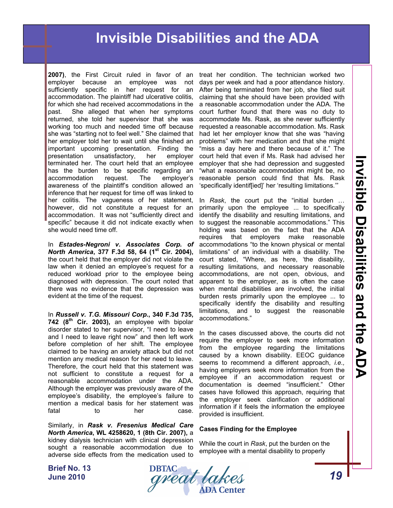**2007)**, the First Circuit ruled in favor of an employer because an employee was not sufficiently specific in her request for an accommodation. The plaintiff had ulcerative colitis, for which she had received accommodations in the past. She alleged that when her symptoms returned, she told her supervisor that she was working too much and needed time off because she was "starting not to feel well." She claimed that her employer told her to wait until she finished an important upcoming presentation. Finding the presentation unsatisfactory, her employer terminated her. The court held that an employee has the burden to be specific regarding an accommodation request. The employer's awareness of the plaintiff's condition allowed an inference that her request for time off was linked to her colitis. The vagueness of her statement, however, did not constitute a request for an accommodation. It was not "sufficiently direct and specific" because it did not indicate exactly when she would need time off.

In *Estades-Negroni v. Associates Corp. of North America*, 377 F.3d 58, 64 (1<sup>st</sup> Cir. 2004), the court held that the employer did not violate the law when it denied an employee's request for a reduced workload prior to the employee being diagnosed with depression. The court noted that there was no evidence that the depression was evident at the time of the request.

In *Russell v. T.G. Missouri Corp***., 340 F.3d 735, 742 (8th Cir. 2003),** an employee with bipolar disorder stated to her supervisor, "I need to leave and I need to leave right now" and then left work before completion of her shift. The employee claimed to be having an anxiety attack but did not mention any medical reason for her need to leave. Therefore, the court held that this statement was not sufficient to constitute a request for a reasonable accommodation under the ADA. Although the employer was previously aware of the employee's disability, the employee's failure to mention a medical basis for her statement was fatal to her case.

Similarly, in *Rask v. Fresenius Medical Care North America***, WL 4258620, 1 (8th Cir. 2007),** a kidney dialysis technician with clinical depression sought a reasonable accommodation due to adverse side effects from the medication used to

treat her condition. The technician worked two days per week and had a poor attendance history. After being terminated from her job, she filed suit claiming that she should have been provided with a reasonable accommodation under the ADA. The court further found that there was no duty to accommodate Ms. Rask, as she never sufficiently requested a reasonable accommodation. Ms. Rask had let her employer know that she was "having problems" with her medication and that she might "miss a day here and there because of it." The court held that even if Ms. Rask had advised her employer that she had depression and suggested "what a reasonable accommodation might be, no reasonable person could find that Ms. Rask 'specifically identif[ied]' her 'resulting limitations.'"

In *Rask*, the court put the "initial burden … primarily upon the employee ... to specifically identify the disability and resulting limitations, and to suggest the reasonable accommodations." This holding was based on the fact that the ADA requires that employers make reasonable accommodations "to the known physical or mental limitations" of an individual with a disability. The court stated, "Where, as here, 'the disability, resulting limitations, and necessary reasonable accommodations, are not open, obvious, and apparent to the employer, as is often the case when mental disabilities are involved, the initial burden rests primarily upon the employee ... to specifically identify the disability and resulting limitations, and to suggest the reasonable accommodations."

In the cases discussed above, the courts did not require the employer to seek more information from the employee regarding the limitations caused by a known disability. EEOC guidance seems to recommend a different approach, *i.e.,* having employers seek more information from the employee if an accommodation request or documentation is deemed "insufficient." Other cases have followed this approach, requiring that the employer seek clarification or additional information if it feels the information the employee provided is insufficient.

#### **Cases Finding for the Employee**

While the court in *Rask*, put the burden on the employee with a mental disability to properly

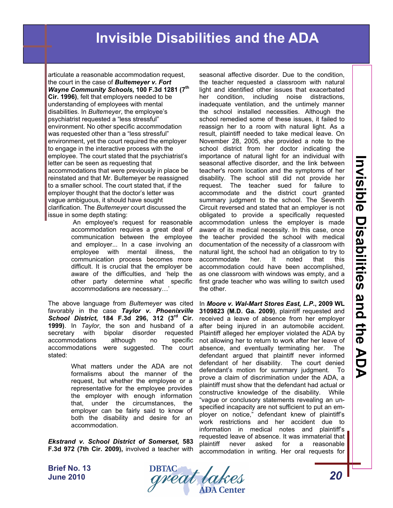articulate a reasonable accommodation request, the court in the case of *Bultemeyer v. Fort Wayne Community Schools,* **100 F.3d 1281 (7th Cir. 1996)**, felt that employers needed to be understanding of employees with mental disabilities. In *Bultemeyer*, the employee's psychiatrist requested a "less stressful" environment. No other specific accommodation was requested other than a "less stressful" environment, yet the court required the employer to engage in the interactive process with the employee. The court stated that the psychiatrist's letter can be seen as requesting that accommodations that were previously in place be reinstated and that Mr. Bultemeyer be reassigned to a smaller school. The court stated that, if the employer thought that the doctor's letter was vague ambiguous, it should have sought clarification. The *Bultemeyer* court discussed the issue in some depth stating:

 An employee's request for reasonable accommodation requires a great deal of communication between the employee and employer... In a case involving an employee with mental illness, the communication process becomes more difficult. It is crucial that the employer be aware of the difficulties, and 'help the other party determine what specific accommodations are necessary…'

The above language from *Bultemeyer* was cited favorably in the case *Taylor v. Phoenixville School District***, 184 F.3d 296, 312 (3rd Cir. 1999)**. In *Taylor*, the son and husband of a secretary with bipolar disorder requested accommodations although no specific accommodations were suggested. The court absence, and eventually terminating her. The stated:

What matters under the ADA are not formalisms about the manner of the request, but whether the employee or a representative for the employee provides the employer with enough information that, under the circumstances, the employer can be fairly said to know of both the disability and desire for an accommodation.

*Ekstrand v. School District of Somerset,* **583 F.3d 972 (7th Cir. 2009),** involved a teacher with

seasonal affective disorder. Due to the condition, the teacher requested a classroom with natural light and identified other issues that exacerbated her condition, including noise distractions, inadequate ventilation, and the untimely manner the school installed necessities. Although the school remedied some of these issues, it failed to reassign her to a room with natural light. As a result, plaintiff needed to take medical leave. On November 28, 2005, she provided a note to the school district from her doctor indicating the importance of natural light for an individual with seasonal affective disorder, and the link between teacher's room location and the symptoms of her disability. The school still did not provide her request. The teacher sued for failure to accommodate and the district court granted summary judgment to the school. The Seventh Circuit reversed and stated that an employer is not obligated to provide a specifically requested accommodation unless the employer is made aware of its medical necessity. In this case, once the teacher provided the school with medical documentation of the necessity of a classroom with natural light, the school had an obligation to try to accommodate her. It noted that this accommodation could have been accomplished, as one classroom with windows was empty, and a first grade teacher who was willing to switch used the other.

In *Moore v. Wal-Mart Stores East, L.P***., 2009 WL 3109823 (M.D. Ga. 2009)**, plaintiff requested and received a leave of absence from her employer after being injured in an automobile accident. Plaintiff alleged her employer violated the ADA by not allowing her to return to work after her leave of defendant argued that plaintiff never informed defendant of her disability. The court denied defendant's motion for summary judgment. To prove a claim of discrimination under the ADA, a plaintiff must show that the defendant had actual or constructive knowledge of the disability. While "vague or conclusory statements revealing an unspecified incapacity are not sufficient to put an employer on notice," defendant knew of plaintiff's work restrictions and her accident due to information in medical notes and plaintiff's requested leave of absence. It was immaterial that plaintiff never asked for a reasonable accommodation in writing. Her oral requests for

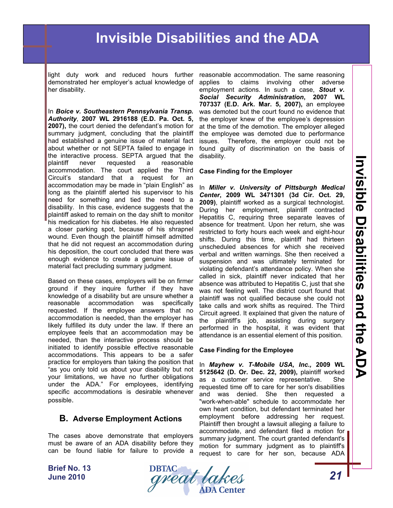light duty work and reduced hours further demonstrated her employer's actual knowledge of her disability.

In *Boice v. Southeastern Pennsylvania Transp. Authority*, **2007 WL 2916188 (E.D. Pa. Oct. 5, 2007),** the court denied the defendant's motion for summary judgment, concluding that the plaintiff had established a genuine issue of material fact about whether or not SEPTA failed to engage in the interactive process. SEPTA argued that the plaintiff never requested a reasonable accommodation. The court applied the Third Circuit's standard that a request for an accommodation may be made in "plain English" as long as the plaintiff alerted his supervisor to his need for something and tied the need to a disability. In this case, evidence suggests that the plaintiff asked to remain on the day shift to monitor his medication for his diabetes. He also requested a closer parking spot, because of his shrapnel wound. Even though the plaintiff himself admitted that he did not request an accommodation during his deposition, the court concluded that there was enough evidence to create a genuine issue of material fact precluding summary judgment.

Based on these cases, employers will be on firmer ground if they inquire further if they have knowledge of a disability but are unsure whether a reasonable accommodation was specifically requested. If the employee answers that no accommodation is needed, than the employer has likely fulfilled its duty under the law. If there an employee feels that an accommodation may be needed, than the interactive process should be initiated to identify possible effective reasonable accommodations. This appears to be a safer practice for employers than taking the position that "as you only told us about your disability but not your limitations, we have no further obligations under the ADA." For employees, identifying specific accommodations is desirable whenever possible.

#### **B. Adverse Employment Actions**

The cases above demonstrate that employers must be aware of an ADA disability before they can be found liable for failure to provide a

reasonable accommodation. The same reasoning applies to claims involving other adverse employment actions. In such a case, *Stout v. Social Security Administration***, 2007 WL 707337 (E.D. Ark. Mar. 5, 2007),** an employee was demoted but the court found no evidence that the employer knew of the employee's depression at the time of the demotion. The employer alleged the employee was demoted due to performance issues. Therefore, the employer could not be found guilty of discrimination on the basis of disability.

#### **Case Finding for the Employer**

In *Miller v. University of Pittsburgh Medical Center***, 2009 WL 3471301 (3d Cir. Oct. 29, 2009)**, plaintiff worked as a surgical technologist. During her employment, plaintiff contracted Hepatitis C, requiring three separate leaves of absence for treatment. Upon her return, she was restricted to forty hours each week and eight-hour shifts. During this time, plaintiff had thirteen unscheduled absences for which she received verbal and written warnings. She then received a suspension and was ultimately terminated for violating defendant's attendance policy. When she called in sick, plaintiff never indicated that her absence was attributed to Hepatitis C, just that she was not feeling well. The district court found that plaintiff was not qualified because she could not take calls and work shifts as required. The Third Circuit agreed. It explained that given the nature of the plaintiff's job, assisting during surgery performed in the hospital, it was evident that attendance is an essential element of this position.

#### **Case Finding for the Employee**

In *Mayhew v. T-Mobile USA, Inc.,* **2009 WL 5125642 (D. Or. Dec. 22, 2009),** plaintiff worked as a customer service representative. She requested time off to care for her son's disabilities and was denied. She then requested a "work-when-able" schedule to accommodate her own heart condition, but defendant terminated her employment before addressing her request. Plaintiff then brought a lawsuit alleging a failure to accommodate, and defendant filed a motion for summary judgment. The court granted defendant's motion for summary judgment as to plaintiff's request to care for her son, because ADA

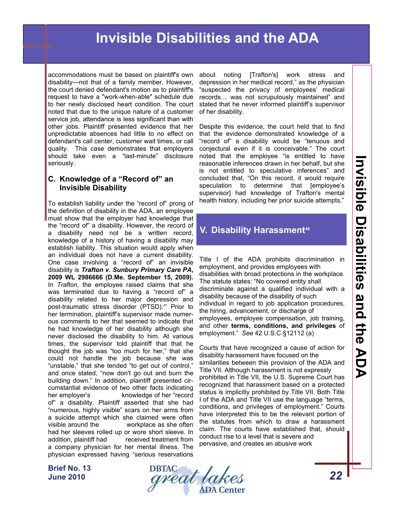accommodations must be based on plaintiff's own disability—not that of a family member. However, the court denied defendant's motion as to plaintiff's request to have a "work-when-able" schedule due to her newly disclosed heart condition. The court noted that due to the unique nature of a customer service job, attendance is less significant than with other jobs. Plaintiff presented evidence that her unpredictable absences had little to no effect on defendant's call center, customer wait times, or call quality. This case demonstrates that employers should take even a "last-minute" disclosure seriously.

#### **C. Knowledge of a "Record of" an Invisible Disability**

To establish liability under the "record of" prong of the definition of disability in the ADA, an employee must show that the employer had knowledge that the "record of" a disability. However, the record of a disability need not be a written record, knowledge of a history of having a disability may establish liability. This situation would apply when an individual does not have a current disability. One case involving a "record of" an invisible disability is *Trafton v. Sunbury Primary Care PA***, 2009 WL 2986666 (D.Me. September 15, 2009).** In *Trafton*, the employee raised claims that she was terminated due to having a "record of" a disability related to her major depression and post-traumatic stress disorder (PTSD).<sup>47</sup> Prior to her termination, plaintiff's supervisor made numerous comments to her that seemed to indicate that he had knowledge of her disability although she never disclosed the disability to him. At various times, the supervisor told plaintiff that that he thought the job was "too much for her," that she could not handle the job because she was "unstable," that she tended "to get out of control," and once stated, "now don't go out and burn the building down." In addition, plaintiff presented circumstantial evidence of two other facts indicating her employer's knowledge of her "record of" a disability. Plaintiff asserted that she had "numerous, highly visible" scars on her arms from a suicide attempt which she claimed were often visible around the workplace as she often had her sleeves rolled up or wore short sleeve. In addition, plaintiff had received treatment from a company physician for her mental illness. The physician expressed having "serious reservations

about noting [Trafton's] work stress and depression in her medical record," as the physician "suspected the privacy of employees' medical records… was not scrupulously maintained" and stated that he never informed plaintiff's supervisor of her disability.

Despite this evidence, the court held that to find that the evidence demonstrated knowledge of a "record of" a disability would be "tenuous and conjectural even if it is conceivable." The court noted that the employee "is entitled to have reasonable inferences drawn in her behalf, but she is not entitled to speculative inferences" and concluded that, "On this record, it would require speculation to determine that [employee's supervisor] had knowledge of Trafton's mental health history, including her prior suicide attempts."

# **V. Disability Harassment<sup>48</sup>**

Title I of the ADA prohibits discrimination in employment, and provides employees with disabilities with broad protections in the workplace. The statute states: "No covered entity shall discriminate against a qualified individual with a disability because of the disability of such individual in regard to job application procedures, the hiring, advancement, or discharge of employees, employee compensation, job training, and other **terms, conditions, and privileges** of employment." *See* 42 U.S.C.§12112 (a)

Courts that have recognized a cause of action for disability harassment have focused on the similarities between this provision of the ADA and Title VII. Although harassment is not expressly prohibited in Title VII, the U.S. Supreme Court has recognized that harassment based on a protected status is implicitly prohibited by Title VII. Both Title I of the ADA and Title VII use the language "terms, conditions, and privileges of employment." Courts have interpreted this to be the relevant portion of the statutes from which to draw a harassment claim. The courts have established that, should conduct rise to a level that is severe and pervasive, and creates an abusive work

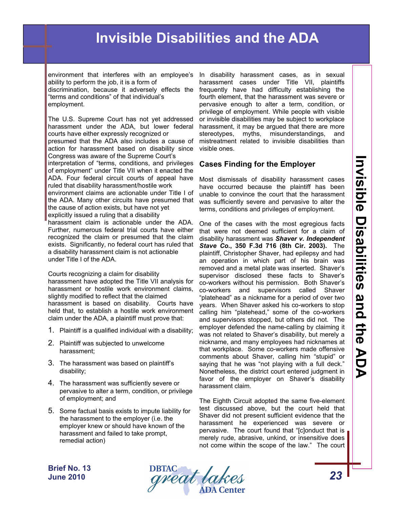environment that interferes with an employee's ability to perform the job, it is a form of discrimination, because it adversely effects the

"terms and conditions" of that individual's employment.

The U.S. Supreme Court has not yet addressed harassment under the ADA, but lower federal courts have either expressly recognized or presumed that the ADA also includes a cause of

action for harassment based on disability since Congress was aware of the Supreme Court's

interpretation of "terms, conditions, and privileges of employment" under Title VII when it enacted the ADA. Four federal circuit courts of appeal have ruled that disability harassment/hostile work

environment claims are actionable under Title I of the ADA. Many other circuits have presumed that the cause of action exists, but have not yet

explicitly issued a ruling that a disability

harassment claim is actionable under the ADA. Further, numerous federal trial courts have either recognized the claim or presumed that the claim exists. Significantly, no federal court has ruled that a disability harassment claim is not actionable under Title I of the ADA.

Courts recognizing a claim for disability harassment have adopted the Title VII analysis for harassment or hostile work environment claims, slightly modified to reflect that the claimed harassment is based on disability. Courts have held that, to establish a hostile work environment claim under the ADA, a plaintiff must prove that:

- 1. Plaintiff is a qualified individual with a disability;
- 2. Plaintiff was subjected to unwelcome harassment;
- 3. The harassment was based on plaintiff's disability;
- 4. The harassment was sufficiently severe or pervasive to alter a term, condition, or privilege of employment; and
- 5. Some factual basis exists to impute liability for the harassment to the employer (i.e. the employer knew or should have known of the harassment and failed to take prompt, remedial action)

In disability harassment cases, as in sexual harassment cases under Title VII, plaintiffs frequently have had difficulty establishing the fourth element, that the harassment was severe or pervasive enough to alter a term, condition, or privilege of employment. While people with visible or invisible disabilities may be subject to workplace harassment, it may be argued that there are more stereotypes, myths, misunderstandings, and mistreatment related to invisible disabilities than visible ones.

### **Cases Finding for the Employer**

Most dismissals of disability harassment cases have occurred because the plaintiff has been unable to convince the court that the harassment was sufficiently severe and pervasive to alter the terms, conditions and privileges of employment.

One of the cases with the most egregious facts that were not deemed sufficient for a claim of disability harassment was *Shaver v. Independent Stave Co.***, 350 F.3d 716 (8th Cir. 2003).** The plaintiff, Christopher Shaver, had epilepsy and had an operation in which part of his brain was removed and a metal plate was inserted. Shaver's supervisor disclosed these facts to Shaver's co-workers without his permission. Both Shaver's co-workers and supervisors called Shaver "platehead" as a nickname for a period of over two years. When Shaver asked his co-workers to stop calling him "platehead," some of the co-workers and supervisors stopped, but others did not. The employer defended the name-calling by claiming it was not related to Shaver's disability, but merely a nickname, and many employees had nicknames at that workplace. Some co-workers made offensive comments about Shaver, calling him "stupid" or saying that he was "not playing with a full deck." Nonetheless, the district court entered judgment in favor of the employer on Shaver's disability harassment claim.

The Eighth Circuit adopted the same five-element test discussed above, but the court held that Shaver did not present sufficient evidence that the harassment he experienced was severe or pervasive. The court found that "[c]onduct that is merely rude, abrasive, unkind, or insensitive does not come within the scope of the law." The court

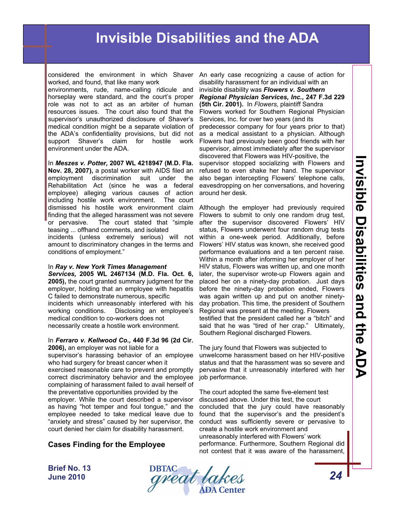considered the environment in which Shaver worked, and found, that like many work

environments, rude, name-calling ridicule and horseplay were standard, and the court's proper role was not to act as an arbiter of human resources issues. The court also found that the supervisor's unauthorized disclosure of Shaver's medical condition might be a separate violation of the ADA's confidentiality provisions, but did not support Shaver's claim for hostile work environment under the ADA.

In *Meszes v. Potter,* **2007 WL 4218947 (M.D. Fla. Nov. 28, 2007),** a postal worker with AIDS filed an employment discrimination suit under the Rehabilitation Act (since he was a federal employee) alleging various causes of action including hostile work environment. The court dismissed his hostile work environment claim finding that the alleged harassment was not severe or pervasive. The court stated that "simple teasing ... offhand comments, and isolated

incidents (unless extremely serious) will not amount to discriminatory changes in the terms and conditions of employment."

### In *Ray v. New York Times Management*

*Services,* **2005 WL 2467134 (M.D. Fla. Oct. 6, 2005),** the court granted summary judgment for the employer, holding that an employee with hepatitis C failed to demonstrate numerous, specific incidents which unreasonably interfered with his working conditions. Disclosing an employee's medical condition to co-workers does not necessarily create a hostile work environment.

#### In *Ferraro v. Kellwood Co.,* **440 F.3d 96 (2d Cir. 2006),** an employer was not liable for a

supervisor's harassing behavior of an employee who had surgery for breast cancer when it exercised reasonable care to prevent and promptly correct discriminatory behavior and the employee complaining of harassment failed to avail herself of the preventative opportunities provided by the employer. While the court described a supervisor as having "hot temper and foul tongue," and the employee needed to take medical leave due to "anxiety and stress" caused by her supervisor, the court denied her claim for disability harassment.

### **Cases Finding for the Employee**

An early case recognizing a cause of action for disability harassment for an individual with an invisible disability was *Flowers v. Southern Regional Physician Services, Inc.***, 247 F.3d 229 (5th Cir. 2001).** In *Flowers,* plaintiff Sandra Flowers worked for Southern Regional Physician Services, Inc. for over two years (and its predecessor company for four years prior to that) as a medical assistant to a physician. Although Flowers had previously been good friends with her supervisor, almost immediately after the supervisor discovered that Flowers was HIV-positive, the supervisor stopped socializing with Flowers and refused to even shake her hand. The supervisor also began intercepting Flowers' telephone calls, eavesdropping on her conversations, and hovering around her desk.

Although the employer had previously required Flowers to submit to only one random drug test, after the supervisor discovered Flowers' HIV status, Flowers underwent four random drug tests within a one-week period. Additionally, before Flowers' HIV status was known, she received good performance evaluations and a ten percent raise. Within a month after informing her employer of her HIV status, Flowers was written up, and one month later, the supervisor wrote-up Flowers again and placed her on a ninety-day probation. Just days before the ninety-day probation ended, Flowers was again written up and put on another ninetyday probation. This time, the president of Southern Regional was present at the meeting. Flowers testified that the president called her a "bitch" and said that he was "tired of her crap." Ultimately, Southern Regional discharged Flowers.

The jury found that Flowers was subjected to unwelcome harassment based on her HIV-positive status and that the harassment was so severe and pervasive that it unreasonably interfered with her job performance.

The court adopted the same five-element test discussed above. Under this test, the court concluded that the jury could have reasonably found that the supervisor's and the president's conduct was sufficiently severe or pervasive to create a hostile work environment and unreasonably interfered with Flowers' work performance. Furthermore, Southern Regional did not contest that it was aware of the harassment,

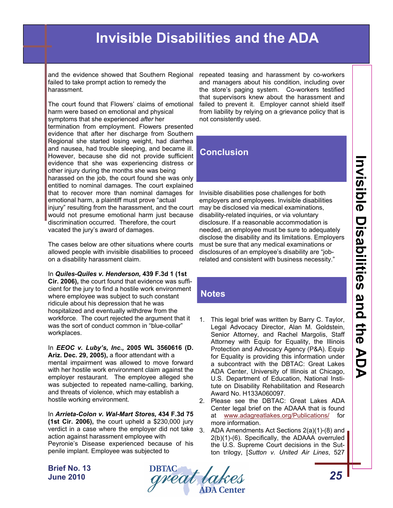and the evidence showed that Southern Regional failed to take prompt action to remedy the harassment.

The court found that Flowers' claims of emotional harm were based on emotional and physical symptoms that she experienced *after* her termination from employment. Flowers presented evidence that after her discharge from Southern Regional she started losing weight, had diarrhea and nausea, had trouble sleeping, and became ill. However, because she did not provide sufficient evidence that she was experiencing distress or other injury during the months she was being harassed on the job, the court found she was only entitled to nominal damages. The court explained that to recover more than nominal damages for emotional harm, a plaintiff must prove "actual injury" resulting from the harassment, and the court would not presume emotional harm just because discrimination occurred. Therefore, the court vacated the jury's award of damages.

The cases below are other situations where courts allowed people with invisible disabilities to proceed on a disability harassment claim.

In *Quiles-Quiles v. Henderson,* **439 F.3d 1 (1st** 

**Cir. 2006),** the court found that evidence was sufficient for the jury to find a hostile work environment where employee was subject to such constant ridicule about his depression that he was hospitalized and eventually withdrew from the workforce. The court rejected the argument that it was the sort of conduct common in "blue-collar" workplaces.

In *EEOC v. Luby's, Inc.,* **2005 WL 3560616 (D. Ariz. Dec. 29, 2005),** a floor attendant with a mental impairment was allowed to move forward with her hostile work environment claim against the employer restaurant. The employee alleged she was subjected to repeated name-calling, barking, and threats of violence, which may establish a hostile working environment.

In *Arrieta-Colon v. Wal-Mart Stores,* **434 F.3d 75 (1st Cir. 2006),** the court upheld a \$230,000 jury verdict in a case where the employer did not take 3. ADA Amendments Act Sections 2(a)(1)-(8) and action against harassment employee with Peyronie's Disease experienced because of his penile implant. Employee was subjected to

repeated teasing and harassment by co-workers and managers about his condition, including over the store's paging system. Co-workers testified that supervisors knew about the harassment and failed to prevent it. Employer cannot shield itself from liability by relying on a grievance policy that is not consistently used.

### **Conclusion**

Invisible disabilities pose challenges for both employers and employees. Invisible disabilities may be disclosed via medical examinations, disability-related inquiries, or via voluntary disclosure. If a reasonable accommodation is needed, an employee must be sure to adequately disclose the disability and its limitations. Employers must be sure that any medical examinations or disclosures of an employee's disability are "jobrelated and consistent with business necessity."

## **Notes**

1. This legal brief was written by Barry C. Taylor, Legal Advocacy Director, Alan M. Goldstein, Senior Attorney, and Rachel Margolis, Staff Attorney with Equip for Equality, the Illinois Protection and Advocacy Agency (P&A). Equip for Equality is providing this information under a subcontract with the DBTAC: Great Lakes ADA Center, University of Illinois at Chicago, U.S. Department of Education, National Institute on Disability Rehabilitation and Research Award No. H133A060097.

2. Please see the DBTAC: Great Lakes ADA Center legal brief on the ADAAA that is found at [www.adagreatlakes.org/Publications/](http://www.adagreatlakes.org/Publications/) for more information.

2(b)(1)-(6). Specifically, the ADAAA overruled the U.S. Supreme Court decisions in the Sutton trilogy, [*Sutton v. United Air Lines*, 527